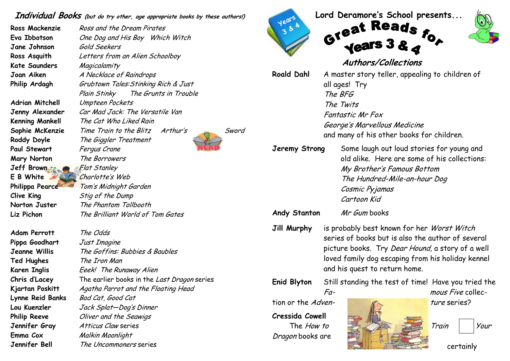## Individual Books (but do try other, age appropriate books by these authors!)

Jane Johnson Gold Seekers Kate Saunders Magicalamity

Paul Stewart Fergus Crane Mary Norton The Borrowers Jeff Brown Flat Stanley E B White Charlotte's Web Clive King Stig of the Dump

Adam Perrott The Odds Pippa Goodhart Just Imagine Ted Hughes The Iron Man Emma Cox Malkin Moonlight

Ross Mackenzie Ross and the Dream Pirates Eva Ibbotson One Dog and His Boy Which Witch Ross Asquith Letters from an Alien Schoolboy Joan Aiken A Necklace of Raindrops Philip Ardagh Grubtown Tales: Stinking Rich & Just Plain Stinky The Grunts in Trouble Adrian Mitchell Umpteen Pockets Jenny Alexander Car Mad Jack: The Versatile Van Kenning Mankell The Cat Who Liked Rain Sophie McKenzie Time Train to the Blitz Arthur's Sword Roddy Doyle The Giggler Treatment Philippa Pearce Tom's Midnight Garden Norton Juster The Phantom Tollbooth Liz Pichon *The Brilliant World of Tom Gates* 

Jeanne Willis The Goffins: Bubbies & Baubles Karen Inglis Eeek! The Runaway Alien Chris d'Lacey The earlier books in the Last Dragon series Kjartan Poskitt Agatha Parrot and the Floating Head Lynne Reid Banks Bad Cat, Good Cat Lou Kuenzler Jack Splat—Dog's DinnerPhilip Reeve Oliver and the Seawigs Jennifer Gray Atticus Claw series Jennifer Bell The Uncommoners series



Lord Deramore's School presents...<br>G<sup>1621</sup> Reads



certainly

## Authors/Collections

| <b>Roald Dahl</b>                                                                       | A master story teller, appealing to children of<br>all ages! Try<br>The BFG<br>The Twits<br><b>Fantastic Mr Fox</b><br>George's Marvellous Medicine<br>and many of his other books for children.                                                 |
|-----------------------------------------------------------------------------------------|--------------------------------------------------------------------------------------------------------------------------------------------------------------------------------------------------------------------------------------------------|
| Jeremy Strong                                                                           | Some laugh out loud stories for young and<br>old alike. Here are some of his collections:<br>My Brother's Famous Bottom<br>The Hundred-Mile-an-hour Dog<br>Cosmic Pyjamas<br>Cartoon Kid                                                         |
| <b>Andy Stanton</b>                                                                     | Mr Gum books                                                                                                                                                                                                                                     |
| <b>Jill Murphy</b>                                                                      | is probably best known for her Worst Witch<br>series of books but is also the author of several<br>picture books. Try <i>Dear Hound,</i> a story of a well<br>loved family dog escaping from his holiday kennel<br>and his quest to return home. |
| <b>Enid Blyton</b>                                                                      | Still standing the test of time! Have you tried the<br>mous Five collec-<br>Fa-                                                                                                                                                                  |
| tion or the Adven-                                                                      | <i>ture</i> series?                                                                                                                                                                                                                              |
| <b>Cressida Cowell</b><br>Train<br>The <i>How to</i><br>Your<br><i>Dragon</i> books are |                                                                                                                                                                                                                                                  |